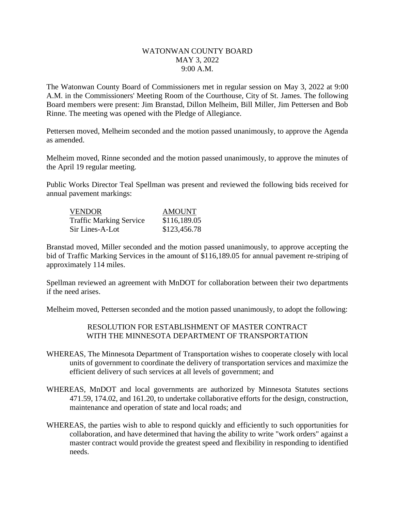## WATONWAN COUNTY BOARD MAY 3, 2022 9:00 A.M.

The Watonwan County Board of Commissioners met in regular session on May 3, 2022 at 9:00 A.M. in the Commissioners' Meeting Room of the Courthouse, City of St. James. The following Board members were present: Jim Branstad, Dillon Melheim, Bill Miller, Jim Pettersen and Bob Rinne. The meeting was opened with the Pledge of Allegiance.

Pettersen moved, Melheim seconded and the motion passed unanimously, to approve the Agenda as amended.

Melheim moved, Rinne seconded and the motion passed unanimously, to approve the minutes of the April 19 regular meeting.

Public Works Director Teal Spellman was present and reviewed the following bids received for annual pavement markings:

| <b>VENDOR</b>                  | <b>AMOUNT</b> |
|--------------------------------|---------------|
| <b>Traffic Marking Service</b> | \$116,189.05  |
| Sir Lines-A-Lot                | \$123,456.78  |

Branstad moved, Miller seconded and the motion passed unanimously, to approve accepting the bid of Traffic Marking Services in the amount of \$116,189.05 for annual pavement re-striping of approximately 114 miles.

Spellman reviewed an agreement with MnDOT for collaboration between their two departments if the need arises.

Melheim moved, Pettersen seconded and the motion passed unanimously, to adopt the following:

RESOLUTION FOR ESTABLISHMENT OF MASTER CONTRACT WITH THE MINNESOTA DEPARTMENT OF TRANSPORTATION

- WHEREAS, The Minnesota Department of Transportation wishes to cooperate closely with local units of government to coordinate the delivery of transportation services and maximize the efficient delivery of such services at all levels of government; and
- WHEREAS, MnDOT and local governments are authorized by Minnesota Statutes sections 471.59, 174.02, and 161.20, to undertake collaborative efforts for the design, construction, maintenance and operation of state and local roads; and
- WHEREAS, the parties wish to able to respond quickly and efficiently to such opportunities for collaboration, and have determined that having the ability to write "work orders" against a master contract would provide the greatest speed and flexibility in responding to identified needs.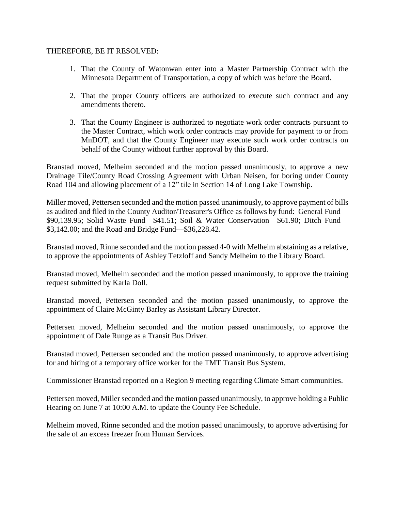## THEREFORE, BE IT RESOLVED:

- 1. That the County of Watonwan enter into a Master Partnership Contract with the Minnesota Department of Transportation, a copy of which was before the Board.
- 2. That the proper County officers are authorized to execute such contract and any amendments thereto.
- 3. That the County Engineer is authorized to negotiate work order contracts pursuant to the Master Contract, which work order contracts may provide for payment to or from MnDOT, and that the County Engineer may execute such work order contracts on behalf of the County without further approval by this Board.

Branstad moved, Melheim seconded and the motion passed unanimously, to approve a new Drainage Tile/County Road Crossing Agreement with Urban Neisen, for boring under County Road 104 and allowing placement of a 12" tile in Section 14 of Long Lake Township.

Miller moved, Pettersen seconded and the motion passed unanimously, to approve payment of bills as audited and filed in the County Auditor/Treasurer's Office as follows by fund: General Fund— \$90,139.95; Solid Waste Fund—\$41.51; Soil & Water Conservation—\$61.90; Ditch Fund— \$3,142.00; and the Road and Bridge Fund—\$36,228.42.

Branstad moved, Rinne seconded and the motion passed 4-0 with Melheim abstaining as a relative, to approve the appointments of Ashley Tetzloff and Sandy Melheim to the Library Board.

Branstad moved, Melheim seconded and the motion passed unanimously, to approve the training request submitted by Karla Doll.

Branstad moved, Pettersen seconded and the motion passed unanimously, to approve the appointment of Claire McGinty Barley as Assistant Library Director.

Pettersen moved, Melheim seconded and the motion passed unanimously, to approve the appointment of Dale Runge as a Transit Bus Driver.

Branstad moved, Pettersen seconded and the motion passed unanimously, to approve advertising for and hiring of a temporary office worker for the TMT Transit Bus System.

Commissioner Branstad reported on a Region 9 meeting regarding Climate Smart communities.

Pettersen moved, Miller seconded and the motion passed unanimously, to approve holding a Public Hearing on June 7 at 10:00 A.M. to update the County Fee Schedule.

Melheim moved, Rinne seconded and the motion passed unanimously, to approve advertising for the sale of an excess freezer from Human Services.